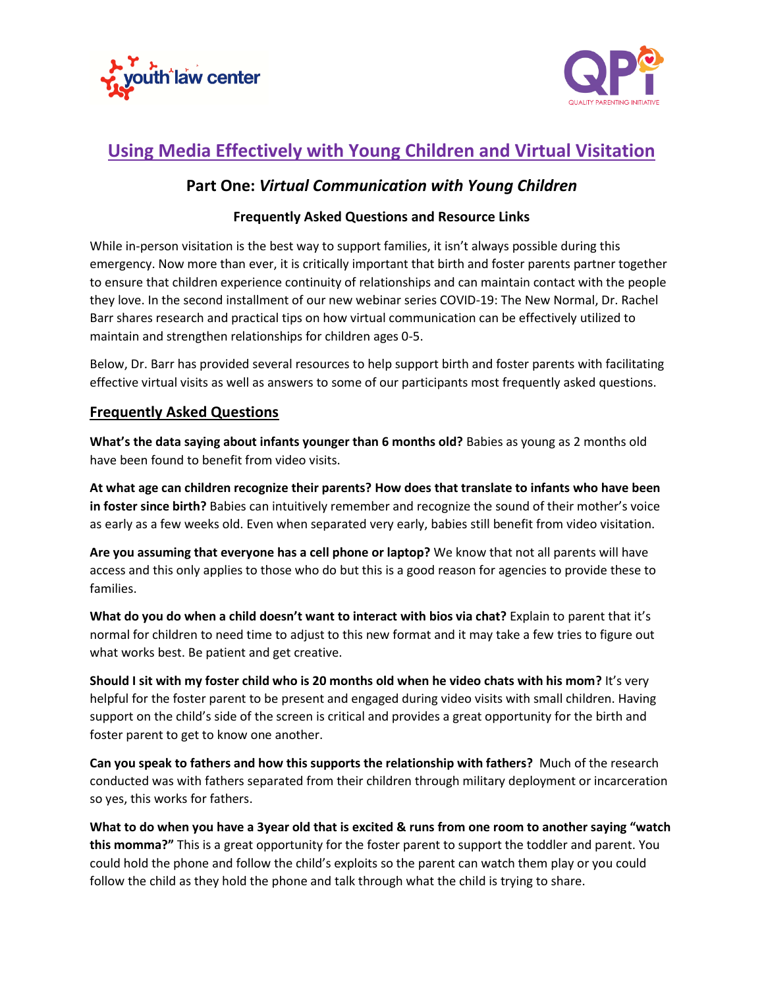



# **Using Media Effectively with Young Children and Virtual Visitation**

## **Part One:** *Virtual Communication with Young Children*

#### **Frequently Asked Questions and Resource Links**

While in-person visitation is the best way to support families, it isn't always possible during this emergency. Now more than ever, it is critically important that birth and foster parents partner together to ensure that children experience continuity of relationships and can maintain contact with the people they love. In the second installment of our new webinar series COVID-19: The New Normal, Dr. Rachel Barr shares research and practical tips on how virtual communication can be effectively utilized to maintain and strengthen relationships for children ages 0-5.

Below, Dr. Barr has provided several resources to help support birth and foster parents with facilitating effective virtual visits as well as answers to some of our participants most frequently asked questions.

#### **Frequently Asked Questions**

**What's the data saying about infants younger than 6 months old?** Babies as young as 2 months old have been found to benefit from video visits.

**At what age can children recognize their parents? How does that translate to infants who have been in foster since birth?** Babies can intuitively remember and recognize the sound of their mother's voice as early as a few weeks old. Even when separated very early, babies still benefit from video visitation.

**Are you assuming that everyone has a cell phone or laptop?** We know that not all parents will have access and this only applies to those who do but this is a good reason for agencies to provide these to families.

**What do you do when a child doesn't want to interact with bios via chat?** Explain to parent that it's normal for children to need time to adjust to this new format and it may take a few tries to figure out what works best. Be patient and get creative.

**Should I sit with my foster child who is 20 months old when he video chats with his mom?** It's very helpful for the foster parent to be present and engaged during video visits with small children. Having support on the child's side of the screen is critical and provides a great opportunity for the birth and foster parent to get to know one another.

**Can you speak to fathers and how this supports the relationship with fathers?** Much of the research conducted was with fathers separated from their children through military deployment or incarceration so yes, this works for fathers.

**What to do when you have a 3year old that is excited & runs from one room to another saying "watch this momma?"** This is a great opportunity for the foster parent to support the toddler and parent. You could hold the phone and follow the child's exploits so the parent can watch them play or you could follow the child as they hold the phone and talk through what the child is trying to share.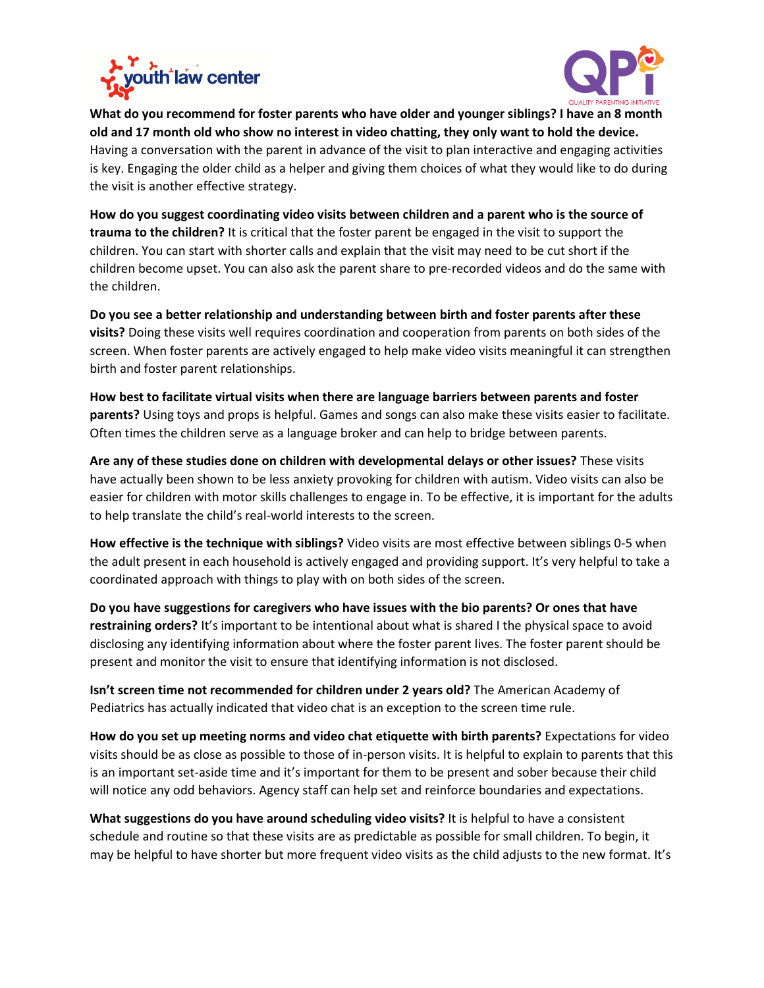



**What do you recommend for foster parents who have older and younger siblings? I have an 8 month old and 17 month old who show no interest in video chatting, they only want to hold the device.**  Having a conversation with the parent in advance of the visit to plan interactive and engaging activities is key. Engaging the older child as a helper and giving them choices of what they would like to do during the visit is another effective strategy.

**How do you suggest coordinating video visits between children and a parent who is the source of trauma to the children?** It is critical that the foster parent be engaged in the visit to support the children. You can start with shorter calls and explain that the visit may need to be cut short if the children become upset. You can also ask the parent share to pre-recorded videos and do the same with the children.

**Do you see a better relationship and understanding between birth and foster parents after these visits?** Doing these visits well requires coordination and cooperation from parents on both sides of the screen. When foster parents are actively engaged to help make video visits meaningful it can strengthen birth and foster parent relationships.

**How best to facilitate virtual visits when there are language barriers between parents and foster parents?** Using toys and props is helpful. Games and songs can also make these visits easier to facilitate. Often times the children serve as a language broker and can help to bridge between parents.

**Are any of these studies done on children with developmental delays or other issues?** These visits have actually been shown to be less anxiety provoking for children with autism. Video visits can also be easier for children with motor skills challenges to engage in. To be effective, it is important for the adults to help translate the child's real-world interests to the screen.

**How effective is the technique with siblings?** Video visits are most effective between siblings 0-5 when the adult present in each household is actively engaged and providing support. It's very helpful to take a coordinated approach with things to play with on both sides of the screen.

**Do you have suggestions for caregivers who have issues with the bio parents? Or ones that have restraining orders?** It's important to be intentional about what is shared I the physical space to avoid disclosing any identifying information about where the foster parent lives. The foster parent should be present and monitor the visit to ensure that identifying information is not disclosed.

**Isn't screen time not recommended for children under 2 years old?** The American Academy of Pediatrics has actually indicated that video chat is an exception to the screen time rule.

**How do you set up meeting norms and video chat etiquette with birth parents?** Expectations for video visits should be as close as possible to those of in-person visits. It is helpful to explain to parents that this is an important set-aside time and it's important for them to be present and sober because their child will notice any odd behaviors. Agency staff can help set and reinforce boundaries and expectations.

**What suggestions do you have around scheduling video visits?** It is helpful to have a consistent schedule and routine so that these visits are as predictable as possible for small children. To begin, it may be helpful to have shorter but more frequent video visits as the child adjusts to the new format. It's